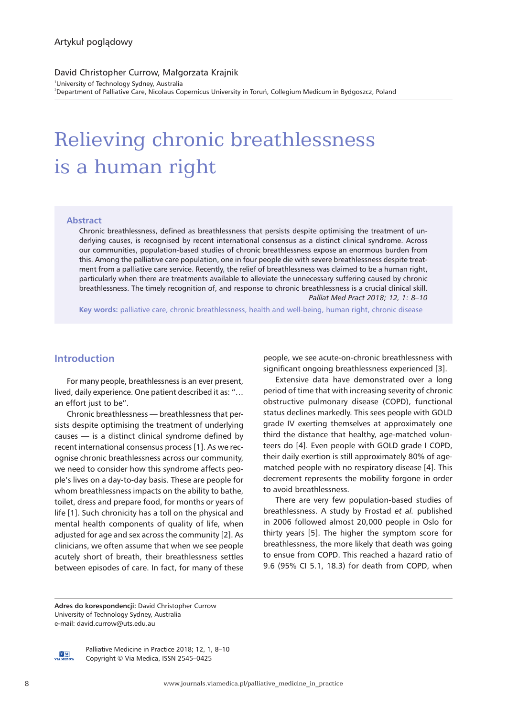David Christopher Currow, Małgorzata Krajnik 1 University of Technology Sydney, Australia 2 Department of Palliative Care, Nicolaus Copernicus University in Toruń, Collegium Medicum in Bydgoszcz, Poland

# Relieving chronic breathlessness is a human right

### **Abstract**

Chronic breathlessness, defined as breathlessness that persists despite optimising the treatment of underlying causes, is recognised by recent international consensus as a distinct clinical syndrome. Across our communities, population-based studies of chronic breathlessness expose an enormous burden from this. Among the palliative care population, one in four people die with severe breathlessness despite treatment from a palliative care service. Recently, the relief of breathlessness was claimed to be a human right, particularly when there are treatments available to alleviate the unnecessary suffering caused by chronic breathlessness. The timely recognition of, and response to chronic breathlessness is a crucial clinical skill. *Palliat Med Pract 2018; 12, 1: 8–10*

**Key words:** palliative care, chronic breathlessness, health and well-being, human right, chronic disease

## **Introduction**

For many people, breathlessness is an ever present, lived, daily experience. One patient described it as: "… an effort just to be".

Chronic breathlessness — breathlessness that persists despite optimising the treatment of underlying causes — is a distinct clinical syndrome defined by recent international consensus process [1]. As we recognise chronic breathlessness across our community, we need to consider how this syndrome affects people's lives on a day-to-day basis. These are people for whom breathlessness impacts on the ability to bathe, toilet, dress and prepare food, for months or years of life [1]. Such chronicity has a toll on the physical and mental health components of quality of life, when adjusted for age and sex across the community [2]. As clinicians, we often assume that when we see people acutely short of breath, their breathlessness settles between episodes of care. In fact, for many of these people, we see acute-on-chronic breathlessness with significant ongoing breathlessness experienced [3].

Extensive data have demonstrated over a long period of time that with increasing severity of chronic obstructive pulmonary disease (COPD), functional status declines markedly. This sees people with GOLD grade IV exerting themselves at approximately one third the distance that healthy, age-matched volunteers do [4]. Even people with GOLD grade I COPD, their daily exertion is still approximately 80% of agematched people with no respiratory disease [4]. This decrement represents the mobility forgone in order to avoid breathlessness.

There are very few population-based studies of breathlessness. A study by Frostad *et al.* published in 2006 followed almost 20,000 people in Oslo for thirty years [5]. The higher the symptom score for breathlessness, the more likely that death was going to ensue from COPD. This reached a hazard ratio of 9.6 (95% CI 5.1, 18.3) for death from COPD, when

**Adres do korespondencji:** David Christopher Currow University of Technology Sydney, Australia e-mail: david.currow@uts.edu.au



Palliative Medicine in Practice 2018; 12, 1, 8–10 Copyright © Via Medica, ISSN 2545–0425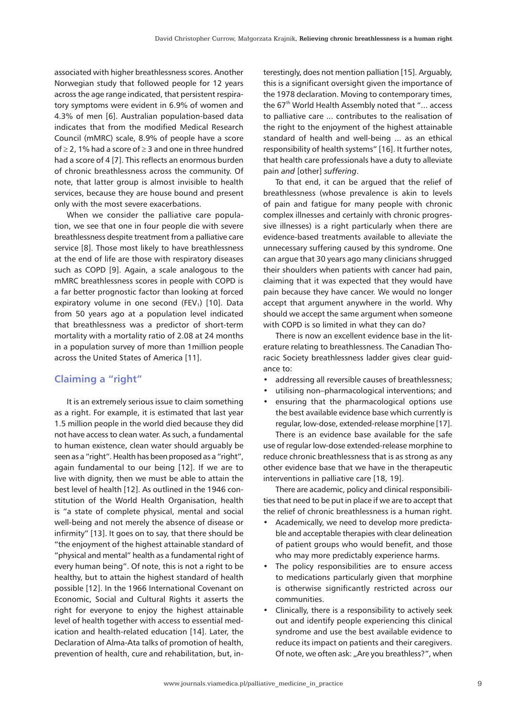associated with higher breathlessness scores. Another Norwegian study that followed people for 12 years across the age range indicated, that persistent respiratory symptoms were evident in 6.9% of women and 4.3% of men [6]. Australian population-based data indicates that from the modified Medical Research Council (mMRC) scale, 8.9% of people have a score of ≥ 2, 1% had a score of ≥ 3 and one in three hundred had a score of 4 [7]. This reflects an enormous burden of chronic breathlessness across the community. Of note, that latter group is almost invisible to health services, because they are house bound and present only with the most severe exacerbations.

When we consider the palliative care population, we see that one in four people die with severe breathlessness despite treatment from a palliative care service [8]. Those most likely to have breathlessness at the end of life are those with respiratory diseases such as COPD [9]. Again, a scale analogous to the mMRC breathlessness scores in people with COPD is a far better prognostic factor than looking at forced expiratory volume in one second (FEV<sub>1</sub>) [10]. Data from 50 years ago at a population level indicated that breathlessness was a predictor of short-term mortality with a mortality ratio of 2.08 at 24 months in a population survey of more than 1million people across the United States of America [11].

## **Claiming a "right"**

It is an extremely serious issue to claim something as a right. For example, it is estimated that last year 1.5 million people in the world died because they did not have access to clean water. As such, a fundamental to human existence, clean water should arguably be seen as a "right". Health has been proposed as a "right", again fundamental to our being [12]. If we are to live with dignity, then we must be able to attain the best level of health [12]. As outlined in the 1946 constitution of the World Health Organisation, health is "a state of complete physical, mental and social well-being and not merely the absence of disease or infirmity" [13]. It goes on to say, that there should be "the enjoyment of the highest attainable standard of "physical and mental" health as a fundamental right of every human being". Of note, this is not a right to be healthy, but to attain the highest standard of health possible [12]. In the 1966 International Covenant on Economic, Social and Cultural Rights it asserts the right for everyone to enjoy the highest attainable level of health together with access to essential medication and health-related education [14]. Later, the Declaration of Alma-Ata talks of promotion of health, prevention of health, cure and rehabilitation, but, interestingly, does not mention palliation [15]. Arguably, this is a significant oversight given the importance of the 1978 declaration. Moving to contemporary times, the 67<sup>th</sup> World Health Assembly noted that "... access to palliative care ... contributes to the realisation of the right to the enjoyment of the highest attainable standard of health and well-being ... as an ethical responsibility of health systems" [16]. It further notes, that health care professionals have a duty to alleviate pain *and* [other] *suffering*.

To that end, it can be argued that the relief of breathlessness (whose prevalence is akin to levels of pain and fatigue for many people with chronic complex illnesses and certainly with chronic progressive illnesses) is a right particularly when there are evidence-based treatments available to alleviate the unnecessary suffering caused by this syndrome. One can argue that 30 years ago many clinicians shrugged their shoulders when patients with cancer had pain, claiming that it was expected that they would have pain because they have cancer. We would no longer accept that argument anywhere in the world. Why should we accept the same argument when someone with COPD is so limited in what they can do?

There is now an excellent evidence base in the literature relating to breathlessness. The Canadian Thoracic Society breathlessness ladder gives clear guidance to:

- addressing all reversible causes of breathlessness;
- utilising non–pharmacological interventions; and
- ensuring that the pharmacological options use the best available evidence base which currently is regular, low-dose, extended-release morphine [17].

There is an evidence base available for the safe use of regular low-dose extended-release morphine to reduce chronic breathlessness that is as strong as any other evidence base that we have in the therapeutic interventions in palliative care [18, 19].

There are academic, policy and clinical responsibilities that need to be put in place if we are to accept that the relief of chronic breathlessness is a human right.

- Academically, we need to develop more predictable and acceptable therapies with clear delineation of patient groups who would benefit, and those who may more predictably experience harms.
- The policy responsibilities are to ensure access to medications particularly given that morphine is otherwise significantly restricted across our communities.
- Clinically, there is a responsibility to actively seek out and identify people experiencing this clinical syndrome and use the best available evidence to reduce its impact on patients and their caregivers. Of note, we often ask: "Are you breathless?", when